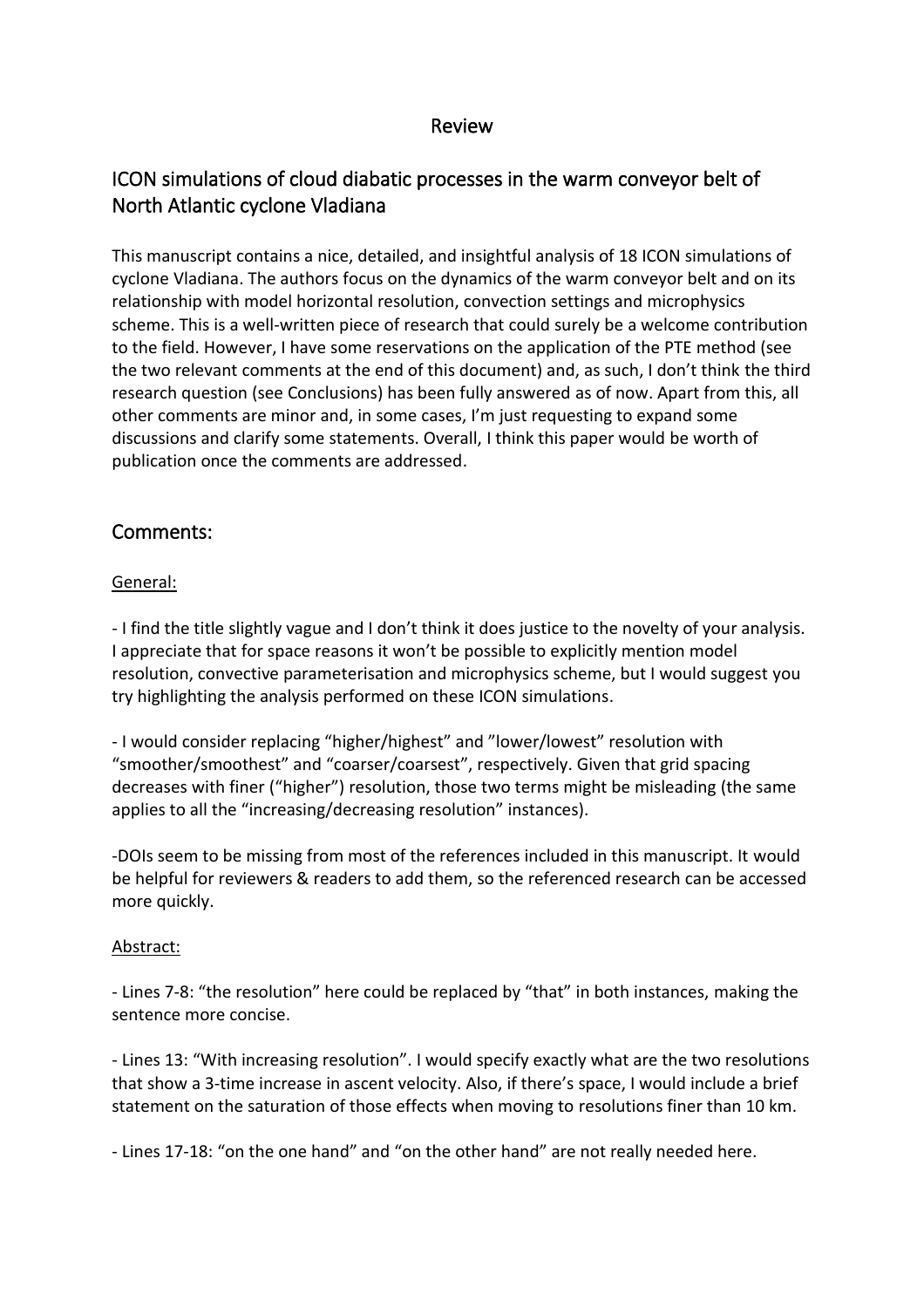## Review

# ICON simulations of cloud diabatic processes in the warm conveyor belt of North Atlantic cyclone Vladiana

This manuscript contains a nice, detailed, and insightful analysis of 18 ICON simulations of cyclone Vladiana. The authors focus on the dynamics of the warm conveyor belt and on its relationship with model horizontal resolution, convection settings and microphysics scheme. This is a well-written piece of research that could surely be a welcome contribution to the field. However, I have some reservations on the application of the PTE method (see the two relevant comments at the end of this document) and, as such, I don't think the third research question (see Conclusions) has been fully answered as of now. Apart from this, all other comments are minor and, in some cases, I'm just requesting to expand some discussions and clarify some statements. Overall, I think this paper would be worth of publication once the comments are addressed.

## Comments:

## General:

- I find the title slightly vague and I don't think it does justice to the novelty of your analysis. I appreciate that for space reasons it won't be possible to explicitly mention model resolution, convective parameterisation and microphysics scheme, but I would suggest you try highlighting the analysis performed on these ICON simulations.

- I would consider replacing "higher/highest" and "lower/lowest" resolution with "smoother/smoothest" and "coarser/coarsest", respectively. Given that grid spacing decreases with finer ("higher") resolution, those two terms might be misleading (the same applies to all the "increasing/decreasing resolution" instances).

-DOIs seem to be missing from most of the references included in this manuscript. It would be helpful for reviewers & readers to add them, so the referenced research can be accessed more quickly.

## Abstract:

- Lines 7-8: "the resolution" here could be replaced by "that" in both instances, making the sentence more concise.

- Lines 13: "With increasing resolution". I would specify exactly what are the two resolutions that show a 3-time increase in ascent velocity. Also, if there's space, I would include a brief statement on the saturation of those effects when moving to resolutions finer than 10 km.

- Lines 17-18: "on the one hand" and "on the other hand" are not really needed here.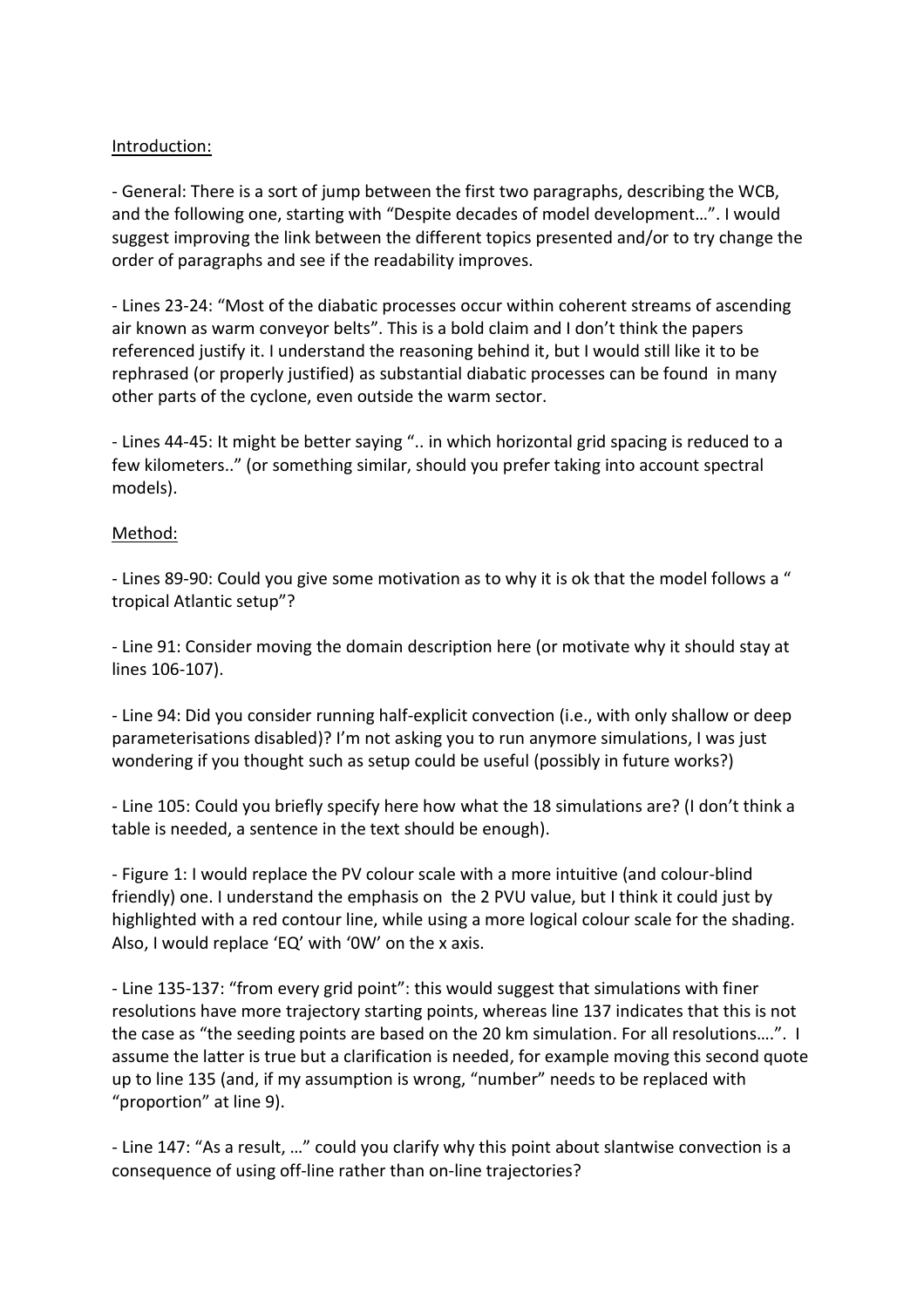#### Introduction:

- General: There is a sort of jump between the first two paragraphs, describing the WCB, and the following one, starting with "Despite decades of model development…". I would suggest improving the link between the different topics presented and/or to try change the order of paragraphs and see if the readability improves.

- Lines 23-24: "Most of the diabatic processes occur within coherent streams of ascending air known as warm conveyor belts". This is a bold claim and I don't think the papers referenced justify it. I understand the reasoning behind it, but I would still like it to be rephrased (or properly justified) as substantial diabatic processes can be found in many other parts of the cyclone, even outside the warm sector.

- Lines 44-45: It might be better saying ".. in which horizontal grid spacing is reduced to a few kilometers.." (or something similar, should you prefer taking into account spectral models).

#### Method:

- Lines 89-90: Could you give some motivation as to why it is ok that the model follows a " tropical Atlantic setup"?

- Line 91: Consider moving the domain description here (or motivate why it should stay at lines 106-107).

- Line 94: Did you consider running half-explicit convection (i.e., with only shallow or deep parameterisations disabled)? I'm not asking you to run anymore simulations, I was just wondering if you thought such as setup could be useful (possibly in future works?)

- Line 105: Could you briefly specify here how what the 18 simulations are? (I don't think a table is needed, a sentence in the text should be enough).

- Figure 1: I would replace the PV colour scale with a more intuitive (and colour-blind friendly) one. I understand the emphasis on the 2 PVU value, but I think it could just by highlighted with a red contour line, while using a more logical colour scale for the shading. Also, I would replace 'EQ' with '0W' on the x axis.

- Line 135-137: "from every grid point": this would suggest that simulations with finer resolutions have more trajectory starting points, whereas line 137 indicates that this is not the case as "the seeding points are based on the 20 km simulation. For all resolutions….". I assume the latter is true but a clarification is needed, for example moving this second quote up to line 135 (and, if my assumption is wrong, "number" needs to be replaced with "proportion" at line 9).

- Line 147: "As a result, …" could you clarify why this point about slantwise convection is a consequence of using off-line rather than on-line trajectories?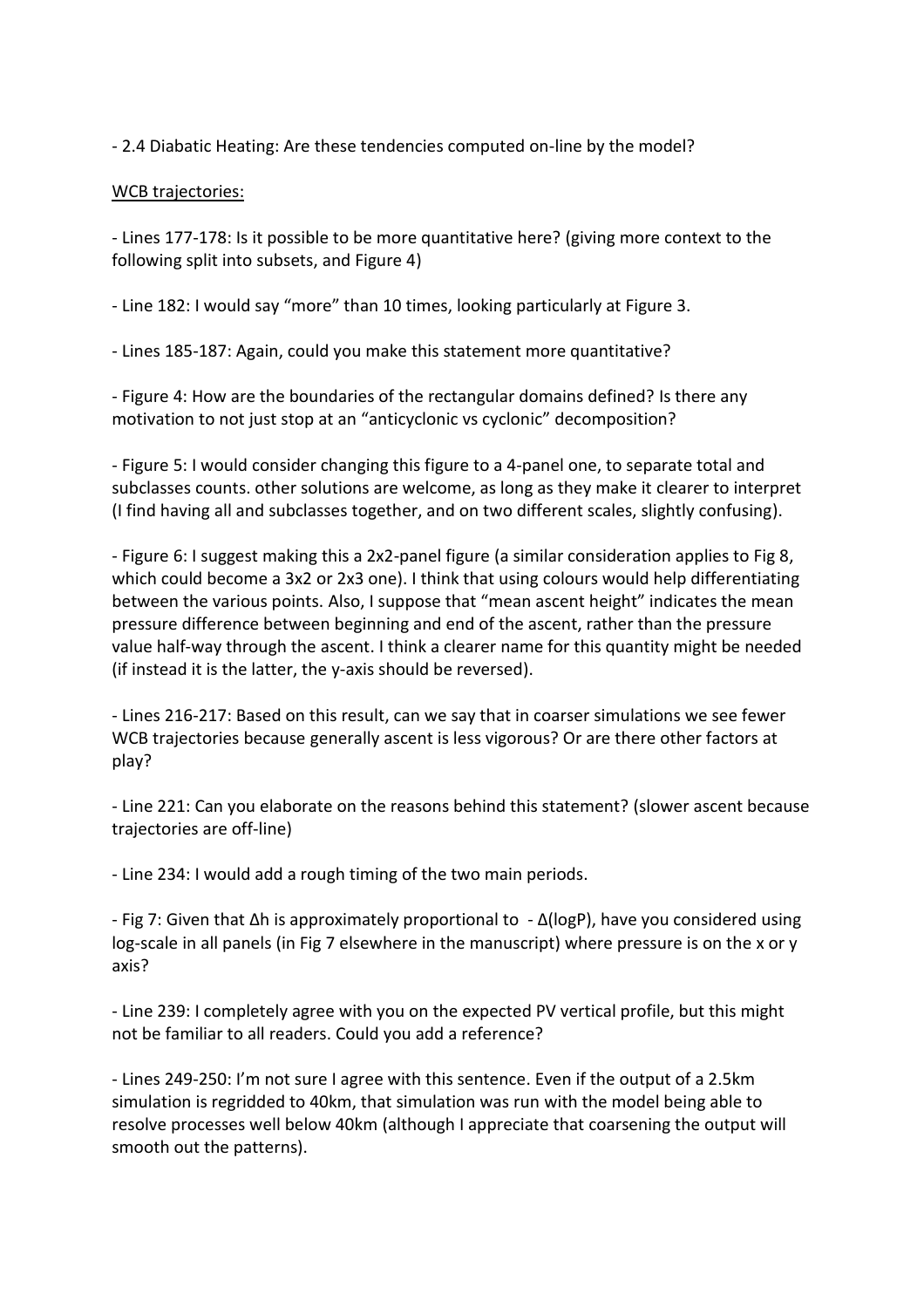- 2.4 Diabatic Heating: Are these tendencies computed on-line by the model?

### WCB trajectories:

- Lines 177-178: Is it possible to be more quantitative here? (giving more context to the following split into subsets, and Figure 4)

- Line 182: I would say "more" than 10 times, looking particularly at Figure 3.

- Lines 185-187: Again, could you make this statement more quantitative?

- Figure 4: How are the boundaries of the rectangular domains defined? Is there any motivation to not just stop at an "anticyclonic vs cyclonic" decomposition?

- Figure 5: I would consider changing this figure to a 4-panel one, to separate total and subclasses counts. other solutions are welcome, as long as they make it clearer to interpret (I find having all and subclasses together, and on two different scales, slightly confusing).

- Figure 6: I suggest making this a 2x2-panel figure (a similar consideration applies to Fig 8, which could become a 3x2 or 2x3 one). I think that using colours would help differentiating between the various points. Also, I suppose that "mean ascent height" indicates the mean pressure difference between beginning and end of the ascent, rather than the pressure value half-way through the ascent. I think a clearer name for this quantity might be needed (if instead it is the latter, the y-axis should be reversed).

- Lines 216-217: Based on this result, can we say that in coarser simulations we see fewer WCB trajectories because generally ascent is less vigorous? Or are there other factors at play?

- Line 221: Can you elaborate on the reasons behind this statement? (slower ascent because trajectories are off-line)

- Line 234: I would add a rough timing of the two main periods.

- Fig 7: Given that Δh is approximately proportional to - Δ(logP), have you considered using log-scale in all panels (in Fig 7 elsewhere in the manuscript) where pressure is on the x or y axis?

- Line 239: I completely agree with you on the expected PV vertical profile, but this might not be familiar to all readers. Could you add a reference?

- Lines 249-250: I'm not sure I agree with this sentence. Even if the output of a 2.5km simulation is regridded to 40km, that simulation was run with the model being able to resolve processes well below 40km (although I appreciate that coarsening the output will smooth out the patterns).